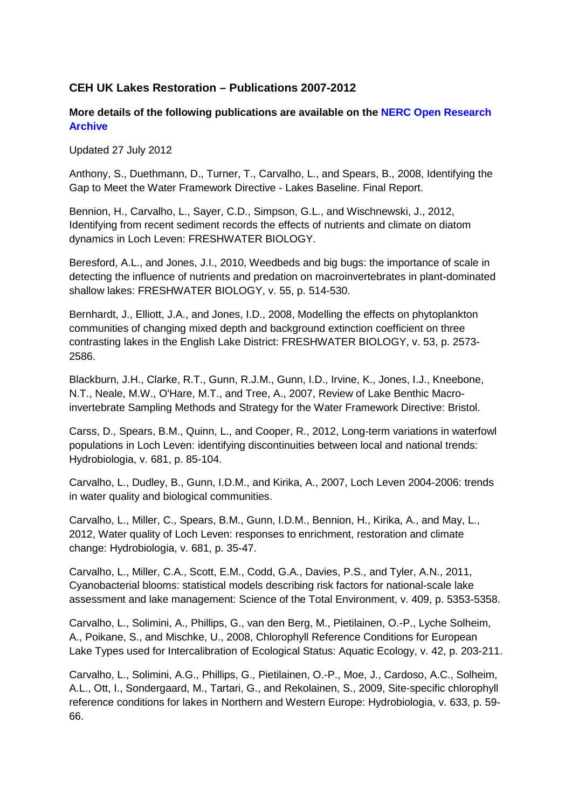## **CEH UK Lakes Restoration – Publications 2007-2012**

## **More details of the following publications are available on the NERC Open Research Archive**

Updated 27 July 2012

Anthony, S., Duethmann, D., Turner, T., Carvalho, L., and Spears, B., 2008, Identifying the Gap to Meet the Water Framework Directive - Lakes Baseline. Final Report.

Bennion, H., Carvalho, L., Sayer, C.D., Simpson, G.L., and Wischnewski, J., 2012, Identifying from recent sediment records the effects of nutrients and climate on diatom dynamics in Loch Leven: FRESHWATER BIOLOGY.

Beresford, A.L., and Jones, J.I., 2010, Weedbeds and big bugs: the importance of scale in detecting the influence of nutrients and predation on macroinvertebrates in plant-dominated shallow lakes: FRESHWATER BIOLOGY, v. 55, p. 514-530.

Bernhardt, J., Elliott, J.A., and Jones, I.D., 2008, Modelling the effects on phytoplankton communities of changing mixed depth and background extinction coefficient on three contrasting lakes in the English Lake District: FRESHWATER BIOLOGY, v. 53, p. 2573- 2586.

Blackburn, J.H., Clarke, R.T., Gunn, R.J.M., Gunn, I.D., Irvine, K., Jones, I.J., Kneebone, N.T., Neale, M.W., O'Hare, M.T., and Tree, A., 2007, Review of Lake Benthic Macroinvertebrate Sampling Methods and Strategy for the Water Framework Directive: Bristol.

Carss, D., Spears, B.M., Quinn, L., and Cooper, R., 2012, Long-term variations in waterfowl populations in Loch Leven: identifying discontinuities between local and national trends: Hydrobiologia, v. 681, p. 85-104.

Carvalho, L., Dudley, B., Gunn, I.D.M., and Kirika, A., 2007, Loch Leven 2004-2006: trends in water quality and biological communities.

Carvalho, L., Miller, C., Spears, B.M., Gunn, I.D.M., Bennion, H., Kirika, A., and May, L., 2012, Water quality of Loch Leven: responses to enrichment, restoration and climate change: Hydrobiologia, v. 681, p. 35-47.

Carvalho, L., Miller, C.A., Scott, E.M., Codd, G.A., Davies, P.S., and Tyler, A.N., 2011, Cyanobacterial blooms: statistical models describing risk factors for national-scale lake assessment and lake management: Science of the Total Environment, v. 409, p. 5353-5358.

Carvalho, L., Solimini, A., Phillips, G., van den Berg, M., Pietilainen, O.-P., Lyche Solheim, A., Poikane, S., and Mischke, U., 2008, Chlorophyll Reference Conditions for European Lake Types used for Intercalibration of Ecological Status: Aquatic Ecology, v. 42, p. 203-211.

Carvalho, L., Solimini, A.G., Phillips, G., Pietilainen, O.-P., Moe, J., Cardoso, A.C., Solheim, A.L., Ott, I., Sondergaard, M., Tartari, G., and Rekolainen, S., 2009, Site-specific chlorophyll reference conditions for lakes in Northern and Western Europe: Hydrobiologia, v. 633, p. 59- 66.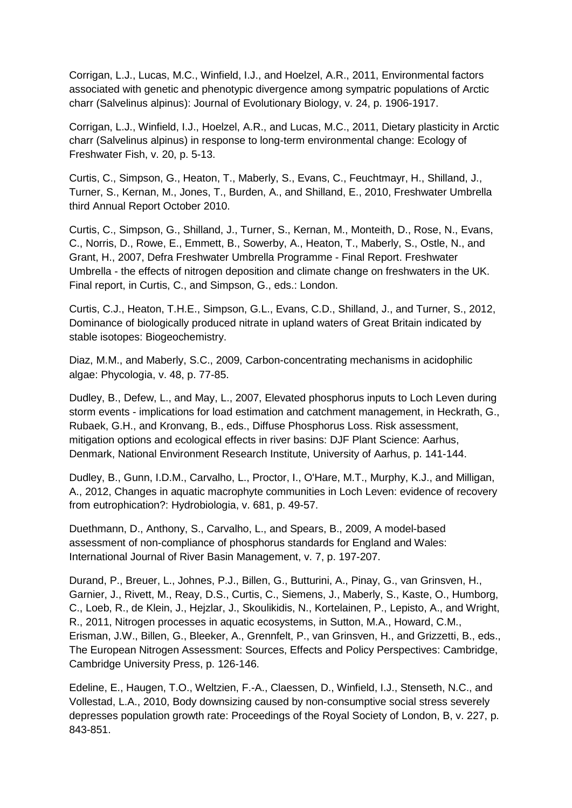Corrigan, L.J., Lucas, M.C., Winfield, I.J., and Hoelzel, A.R., 2011, Environmental factors associated with genetic and phenotypic divergence among sympatric populations of Arctic charr (Salvelinus alpinus): Journal of Evolutionary Biology, v. 24, p. 1906-1917.

Corrigan, L.J., Winfield, I.J., Hoelzel, A.R., and Lucas, M.C., 2011, Dietary plasticity in Arctic charr (Salvelinus alpinus) in response to long-term environmental change: Ecology of Freshwater Fish, v. 20, p. 5-13.

Curtis, C., Simpson, G., Heaton, T., Maberly, S., Evans, C., Feuchtmayr, H., Shilland, J., Turner, S., Kernan, M., Jones, T., Burden, A., and Shilland, E., 2010, Freshwater Umbrella third Annual Report October 2010.

Curtis, C., Simpson, G., Shilland, J., Turner, S., Kernan, M., Monteith, D., Rose, N., Evans, C., Norris, D., Rowe, E., Emmett, B., Sowerby, A., Heaton, T., Maberly, S., Ostle, N., and Grant, H., 2007, Defra Freshwater Umbrella Programme - Final Report. Freshwater Umbrella - the effects of nitrogen deposition and climate change on freshwaters in the UK. Final report, in Curtis, C., and Simpson, G., eds.: London.

Curtis, C.J., Heaton, T.H.E., Simpson, G.L., Evans, C.D., Shilland, J., and Turner, S., 2012, Dominance of biologically produced nitrate in upland waters of Great Britain indicated by stable isotopes: Biogeochemistry.

Diaz, M.M., and Maberly, S.C., 2009, Carbon-concentrating mechanisms in acidophilic algae: Phycologia, v. 48, p. 77-85.

Dudley, B., Defew, L., and May, L., 2007, Elevated phosphorus inputs to Loch Leven during storm events - implications for load estimation and catchment management, in Heckrath, G., Rubaek, G.H., and Kronvang, B., eds., Diffuse Phosphorus Loss. Risk assessment, mitigation options and ecological effects in river basins: DJF Plant Science: Aarhus, Denmark, National Environment Research Institute, University of Aarhus, p. 141-144.

Dudley, B., Gunn, I.D.M., Carvalho, L., Proctor, I., O'Hare, M.T., Murphy, K.J., and Milligan, A., 2012, Changes in aquatic macrophyte communities in Loch Leven: evidence of recovery from eutrophication?: Hydrobiologia, v. 681, p. 49-57.

Duethmann, D., Anthony, S., Carvalho, L., and Spears, B., 2009, A model-based assessment of non-compliance of phosphorus standards for England and Wales: International Journal of River Basin Management, v. 7, p. 197-207.

Durand, P., Breuer, L., Johnes, P.J., Billen, G., Butturini, A., Pinay, G., van Grinsven, H., Garnier, J., Rivett, M., Reay, D.S., Curtis, C., Siemens, J., Maberly, S., Kaste, O., Humborg, C., Loeb, R., de Klein, J., Hejzlar, J., Skoulikidis, N., Kortelainen, P., Lepisto, A., and Wright, R., 2011, Nitrogen processes in aquatic ecosystems, in Sutton, M.A., Howard, C.M., Erisman, J.W., Billen, G., Bleeker, A., Grennfelt, P., van Grinsven, H., and Grizzetti, B., eds., The European Nitrogen Assessment: Sources, Effects and Policy Perspectives: Cambridge, Cambridge University Press, p. 126-146.

Edeline, E., Haugen, T.O., Weltzien, F.-A., Claessen, D., Winfield, I.J., Stenseth, N.C., and Vollestad, L.A., 2010, Body downsizing caused by non-consumptive social stress severely depresses population growth rate: Proceedings of the Royal Society of London, B, v. 227, p. 843-851.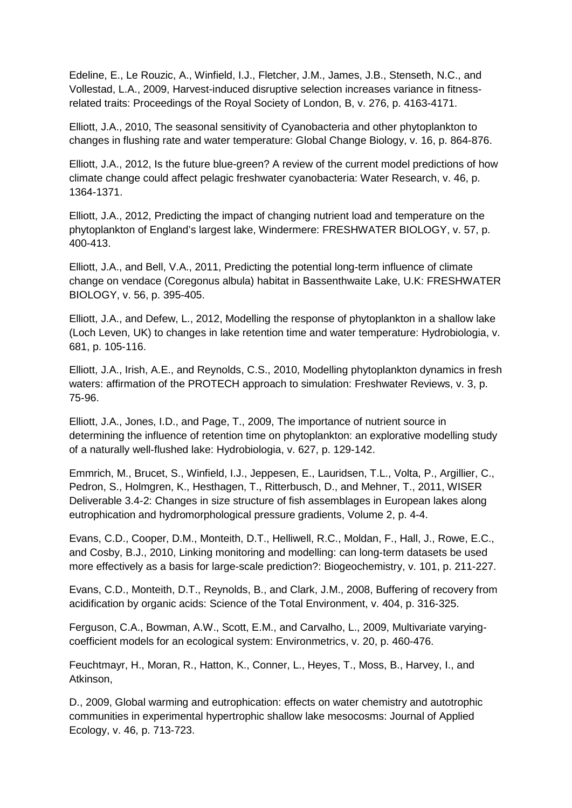Edeline, E., Le Rouzic, A., Winfield, I.J., Fletcher, J.M., James, J.B., Stenseth, N.C., and Vollestad, L.A., 2009, Harvest-induced disruptive selection increases variance in fitnessrelated traits: Proceedings of the Royal Society of London, B, v. 276, p. 4163-4171.

Elliott, J.A., 2010, The seasonal sensitivity of Cyanobacteria and other phytoplankton to changes in flushing rate and water temperature: Global Change Biology, v. 16, p. 864-876.

Elliott, J.A., 2012, Is the future blue-green? A review of the current model predictions of how climate change could affect pelagic freshwater cyanobacteria: Water Research, v. 46, p. 1364-1371.

Elliott, J.A., 2012, Predicting the impact of changing nutrient load and temperature on the phytoplankton of England's largest lake, Windermere: FRESHWATER BIOLOGY, v. 57, p. 400-413.

Elliott, J.A., and Bell, V.A., 2011, Predicting the potential long-term influence of climate change on vendace (Coregonus albula) habitat in Bassenthwaite Lake, U.K: FRESHWATER BIOLOGY, v. 56, p. 395-405.

Elliott, J.A., and Defew, L., 2012, Modelling the response of phytoplankton in a shallow lake (Loch Leven, UK) to changes in lake retention time and water temperature: Hydrobiologia, v. 681, p. 105-116.

Elliott, J.A., Irish, A.E., and Reynolds, C.S., 2010, Modelling phytoplankton dynamics in fresh waters: affirmation of the PROTECH approach to simulation: Freshwater Reviews, v. 3, p. 75-96.

Elliott, J.A., Jones, I.D., and Page, T., 2009, The importance of nutrient source in determining the influence of retention time on phytoplankton: an explorative modelling study of a naturally well-flushed lake: Hydrobiologia, v. 627, p. 129-142.

Emmrich, M., Brucet, S., Winfield, I.J., Jeppesen, E., Lauridsen, T.L., Volta, P., Argillier, C., Pedron, S., Holmgren, K., Hesthagen, T., Ritterbusch, D., and Mehner, T., 2011, WISER Deliverable 3.4-2: Changes in size structure of fish assemblages in European lakes along eutrophication and hydromorphological pressure gradients, Volume 2, p. 4-4.

Evans, C.D., Cooper, D.M., Monteith, D.T., Helliwell, R.C., Moldan, F., Hall, J., Rowe, E.C., and Cosby, B.J., 2010, Linking monitoring and modelling: can long-term datasets be used more effectively as a basis for large-scale prediction?: Biogeochemistry, v. 101, p. 211-227.

Evans, C.D., Monteith, D.T., Reynolds, B., and Clark, J.M., 2008, Buffering of recovery from acidification by organic acids: Science of the Total Environment, v. 404, p. 316-325.

Ferguson, C.A., Bowman, A.W., Scott, E.M., and Carvalho, L., 2009, Multivariate varyingcoefficient models for an ecological system: Environmetrics, v. 20, p. 460-476.

Feuchtmayr, H., Moran, R., Hatton, K., Conner, L., Heyes, T., Moss, B., Harvey, I., and Atkinson,

D., 2009, Global warming and eutrophication: effects on water chemistry and autotrophic communities in experimental hypertrophic shallow lake mesocosms: Journal of Applied Ecology, v. 46, p. 713-723.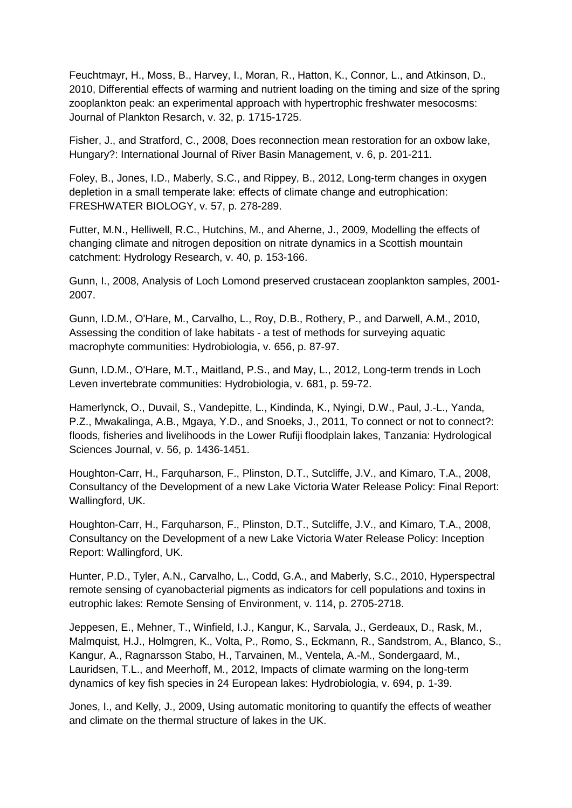Feuchtmayr, H., Moss, B., Harvey, I., Moran, R., Hatton, K., Connor, L., and Atkinson, D., 2010, Differential effects of warming and nutrient loading on the timing and size of the spring zooplankton peak: an experimental approach with hypertrophic freshwater mesocosms: Journal of Plankton Resarch, v. 32, p. 1715-1725.

Fisher, J., and Stratford, C., 2008, Does reconnection mean restoration for an oxbow lake, Hungary?: International Journal of River Basin Management, v. 6, p. 201-211.

Foley, B., Jones, I.D., Maberly, S.C., and Rippey, B., 2012, Long-term changes in oxygen depletion in a small temperate lake: effects of climate change and eutrophication: FRESHWATER BIOLOGY, v. 57, p. 278-289.

Futter, M.N., Helliwell, R.C., Hutchins, M., and Aherne, J., 2009, Modelling the effects of changing climate and nitrogen deposition on nitrate dynamics in a Scottish mountain catchment: Hydrology Research, v. 40, p. 153-166.

Gunn, I., 2008, Analysis of Loch Lomond preserved crustacean zooplankton samples, 2001- 2007.

Gunn, I.D.M., O'Hare, M., Carvalho, L., Roy, D.B., Rothery, P., and Darwell, A.M., 2010, Assessing the condition of lake habitats - a test of methods for surveying aquatic macrophyte communities: Hydrobiologia, v. 656, p. 87-97.

Gunn, I.D.M., O'Hare, M.T., Maitland, P.S., and May, L., 2012, Long-term trends in Loch Leven invertebrate communities: Hydrobiologia, v. 681, p. 59-72.

Hamerlynck, O., Duvail, S., Vandepitte, L., Kindinda, K., Nyingi, D.W., Paul, J.-L., Yanda, P.Z., Mwakalinga, A.B., Mgaya, Y.D., and Snoeks, J., 2011, To connect or not to connect?: floods, fisheries and livelihoods in the Lower Rufiji floodplain lakes, Tanzania: Hydrological Sciences Journal, v. 56, p. 1436-1451.

Houghton-Carr, H., Farquharson, F., Plinston, D.T., Sutcliffe, J.V., and Kimaro, T.A., 2008, Consultancy of the Development of a new Lake Victoria Water Release Policy: Final Report: Wallingford, UK.

Houghton-Carr, H., Farquharson, F., Plinston, D.T., Sutcliffe, J.V., and Kimaro, T.A., 2008, Consultancy on the Development of a new Lake Victoria Water Release Policy: Inception Report: Wallingford, UK.

Hunter, P.D., Tyler, A.N., Carvalho, L., Codd, G.A., and Maberly, S.C., 2010, Hyperspectral remote sensing of cyanobacterial pigments as indicators for cell populations and toxins in eutrophic lakes: Remote Sensing of Environment, v. 114, p. 2705-2718.

Jeppesen, E., Mehner, T., Winfield, I.J., Kangur, K., Sarvala, J., Gerdeaux, D., Rask, M., Malmquist, H.J., Holmgren, K., Volta, P., Romo, S., Eckmann, R., Sandstrom, A., Blanco, S., Kangur, A., Ragnarsson Stabo, H., Tarvainen, M., Ventela, A.-M., Sondergaard, M., Lauridsen, T.L., and Meerhoff, M., 2012, Impacts of climate warming on the long-term dynamics of key fish species in 24 European lakes: Hydrobiologia, v. 694, p. 1-39.

Jones, I., and Kelly, J., 2009, Using automatic monitoring to quantify the effects of weather and climate on the thermal structure of lakes in the UK.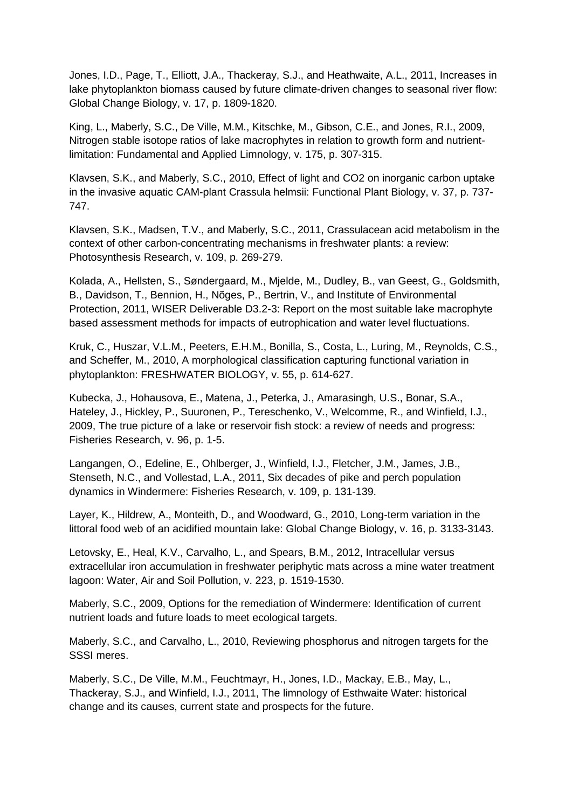Jones, I.D., Page, T., Elliott, J.A., Thackeray, S.J., and Heathwaite, A.L., 2011, Increases in lake phytoplankton biomass caused by future climate-driven changes to seasonal river flow: Global Change Biology, v. 17, p. 1809-1820.

King, L., Maberly, S.C., De Ville, M.M., Kitschke, M., Gibson, C.E., and Jones, R.I., 2009, Nitrogen stable isotope ratios of lake macrophytes in relation to growth form and nutrientlimitation: Fundamental and Applied Limnology, v. 175, p. 307-315.

Klavsen, S.K., and Maberly, S.C., 2010, Effect of light and CO2 on inorganic carbon uptake in the invasive aquatic CAM-plant Crassula helmsii: Functional Plant Biology, v. 37, p. 737- 747.

Klavsen, S.K., Madsen, T.V., and Maberly, S.C., 2011, Crassulacean acid metabolism in the context of other carbon-concentrating mechanisms in freshwater plants: a review: Photosynthesis Research, v. 109, p. 269-279.

Kolada, A., Hellsten, S., Søndergaard, M., Mjelde, M., Dudley, B., van Geest, G., Goldsmith, B., Davidson, T., Bennion, H., Nõges, P., Bertrin, V., and Institute of Environmental Protection, 2011, WISER Deliverable D3.2-3: Report on the most suitable lake macrophyte based assessment methods for impacts of eutrophication and water level fluctuations.

Kruk, C., Huszar, V.L.M., Peeters, E.H.M., Bonilla, S., Costa, L., Luring, M., Reynolds, C.S., and Scheffer, M., 2010, A morphological classification capturing functional variation in phytoplankton: FRESHWATER BIOLOGY, v. 55, p. 614-627.

Kubecka, J., Hohausova, E., Matena, J., Peterka, J., Amarasingh, U.S., Bonar, S.A., Hateley, J., Hickley, P., Suuronen, P., Tereschenko, V., Welcomme, R., and Winfield, I.J., 2009, The true picture of a lake or reservoir fish stock: a review of needs and progress: Fisheries Research, v. 96, p. 1-5.

Langangen, O., Edeline, E., Ohlberger, J., Winfield, I.J., Fletcher, J.M., James, J.B., Stenseth, N.C., and Vollestad, L.A., 2011, Six decades of pike and perch population dynamics in Windermere: Fisheries Research, v. 109, p. 131-139.

Layer, K., Hildrew, A., Monteith, D., and Woodward, G., 2010, Long-term variation in the littoral food web of an acidified mountain lake: Global Change Biology, v. 16, p. 3133-3143.

Letovsky, E., Heal, K.V., Carvalho, L., and Spears, B.M., 2012, Intracellular versus extracellular iron accumulation in freshwater periphytic mats across a mine water treatment lagoon: Water, Air and Soil Pollution, v. 223, p. 1519-1530.

Maberly, S.C., 2009, Options for the remediation of Windermere: Identification of current nutrient loads and future loads to meet ecological targets.

Maberly, S.C., and Carvalho, L., 2010, Reviewing phosphorus and nitrogen targets for the SSSI meres.

Maberly, S.C., De Ville, M.M., Feuchtmayr, H., Jones, I.D., Mackay, E.B., May, L., Thackeray, S.J., and Winfield, I.J., 2011, The limnology of Esthwaite Water: historical change and its causes, current state and prospects for the future.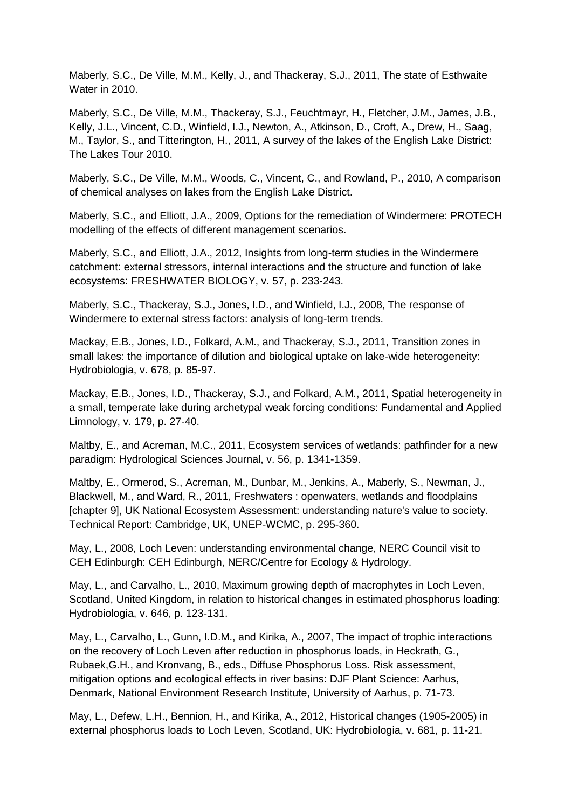Maberly, S.C., De Ville, M.M., Kelly, J., and Thackeray, S.J., 2011, The state of Esthwaite Water in 2010.

Maberly, S.C., De Ville, M.M., Thackeray, S.J., Feuchtmayr, H., Fletcher, J.M., James, J.B., Kelly, J.L., Vincent, C.D., Winfield, I.J., Newton, A., Atkinson, D., Croft, A., Drew, H., Saag, M., Taylor, S., and Titterington, H., 2011, A survey of the lakes of the English Lake District: The Lakes Tour 2010.

Maberly, S.C., De Ville, M.M., Woods, C., Vincent, C., and Rowland, P., 2010, A comparison of chemical analyses on lakes from the English Lake District.

Maberly, S.C., and Elliott, J.A., 2009, Options for the remediation of Windermere: PROTECH modelling of the effects of different management scenarios.

Maberly, S.C., and Elliott, J.A., 2012, Insights from long-term studies in the Windermere catchment: external stressors, internal interactions and the structure and function of lake ecosystems: FRESHWATER BIOLOGY, v. 57, p. 233-243.

Maberly, S.C., Thackeray, S.J., Jones, I.D., and Winfield, I.J., 2008, The response of Windermere to external stress factors: analysis of long-term trends.

Mackay, E.B., Jones, I.D., Folkard, A.M., and Thackeray, S.J., 2011, Transition zones in small lakes: the importance of dilution and biological uptake on lake-wide heterogeneity: Hydrobiologia, v. 678, p. 85-97.

Mackay, E.B., Jones, I.D., Thackeray, S.J., and Folkard, A.M., 2011, Spatial heterogeneity in a small, temperate lake during archetypal weak forcing conditions: Fundamental and Applied Limnology, v. 179, p. 27-40.

Maltby, E., and Acreman, M.C., 2011, Ecosystem services of wetlands: pathfinder for a new paradigm: Hydrological Sciences Journal, v. 56, p. 1341-1359.

Maltby, E., Ormerod, S., Acreman, M., Dunbar, M., Jenkins, A., Maberly, S., Newman, J., Blackwell, M., and Ward, R., 2011, Freshwaters : openwaters, wetlands and floodplains [chapter 9], UK National Ecosystem Assessment: understanding nature's value to society. Technical Report: Cambridge, UK, UNEP-WCMC, p. 295-360.

May, L., 2008, Loch Leven: understanding environmental change, NERC Council visit to CEH Edinburgh: CEH Edinburgh, NERC/Centre for Ecology & Hydrology.

May, L., and Carvalho, L., 2010, Maximum growing depth of macrophytes in Loch Leven, Scotland, United Kingdom, in relation to historical changes in estimated phosphorus loading: Hydrobiologia, v. 646, p. 123-131.

May, L., Carvalho, L., Gunn, I.D.M., and Kirika, A., 2007, The impact of trophic interactions on the recovery of Loch Leven after reduction in phosphorus loads, in Heckrath, G., Rubaek,G.H., and Kronvang, B., eds., Diffuse Phosphorus Loss. Risk assessment, mitigation options and ecological effects in river basins: DJF Plant Science: Aarhus, Denmark, National Environment Research Institute, University of Aarhus, p. 71-73.

May, L., Defew, L.H., Bennion, H., and Kirika, A., 2012, Historical changes (1905-2005) in external phosphorus loads to Loch Leven, Scotland, UK: Hydrobiologia, v. 681, p. 11-21.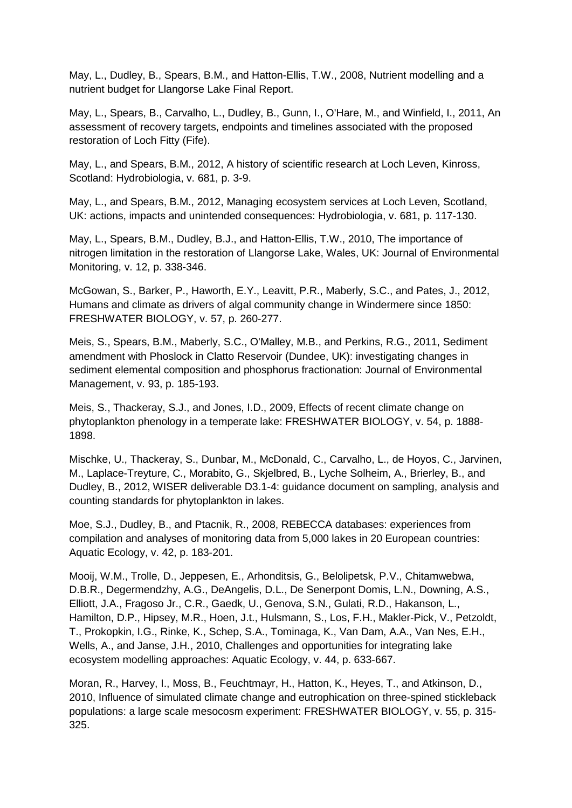May, L., Dudley, B., Spears, B.M., and Hatton-Ellis, T.W., 2008, Nutrient modelling and a nutrient budget for Llangorse Lake Final Report.

May, L., Spears, B., Carvalho, L., Dudley, B., Gunn, I., O'Hare, M., and Winfield, I., 2011, An assessment of recovery targets, endpoints and timelines associated with the proposed restoration of Loch Fitty (Fife).

May, L., and Spears, B.M., 2012, A history of scientific research at Loch Leven, Kinross, Scotland: Hydrobiologia, v. 681, p. 3-9.

May, L., and Spears, B.M., 2012, Managing ecosystem services at Loch Leven, Scotland, UK: actions, impacts and unintended consequences: Hydrobiologia, v. 681, p. 117-130.

May, L., Spears, B.M., Dudley, B.J., and Hatton-Ellis, T.W., 2010, The importance of nitrogen limitation in the restoration of Llangorse Lake, Wales, UK: Journal of Environmental Monitoring, v. 12, p. 338-346.

McGowan, S., Barker, P., Haworth, E.Y., Leavitt, P.R., Maberly, S.C., and Pates, J., 2012, Humans and climate as drivers of algal community change in Windermere since 1850: FRESHWATER BIOLOGY, v. 57, p. 260-277.

Meis, S., Spears, B.M., Maberly, S.C., O'Malley, M.B., and Perkins, R.G., 2011, Sediment amendment with Phoslock in Clatto Reservoir (Dundee, UK): investigating changes in sediment elemental composition and phosphorus fractionation: Journal of Environmental Management, v. 93, p. 185-193.

Meis, S., Thackeray, S.J., and Jones, I.D., 2009, Effects of recent climate change on phytoplankton phenology in a temperate lake: FRESHWATER BIOLOGY, v. 54, p. 1888- 1898.

Mischke, U., Thackeray, S., Dunbar, M., McDonald, C., Carvalho, L., de Hoyos, C., Jarvinen, M., Laplace-Treyture, C., Morabito, G., Skjelbred, B., Lyche Solheim, A., Brierley, B., and Dudley, B., 2012, WISER deliverable D3.1-4: guidance document on sampling, analysis and counting standards for phytoplankton in lakes.

Moe, S.J., Dudley, B., and Ptacnik, R., 2008, REBECCA databases: experiences from compilation and analyses of monitoring data from 5,000 lakes in 20 European countries: Aquatic Ecology, v. 42, p. 183-201.

Mooij, W.M., Trolle, D., Jeppesen, E., Arhonditsis, G., Belolipetsk, P.V., Chitamwebwa, D.B.R., Degermendzhy, A.G., DeAngelis, D.L., De Senerpont Domis, L.N., Downing, A.S., Elliott, J.A., Fragoso Jr., C.R., Gaedk, U., Genova, S.N., Gulati, R.D., Hakanson, L., Hamilton, D.P., Hipsey, M.R., Hoen, J.t., Hulsmann, S., Los, F.H., Makler-Pick, V., Petzoldt, T., Prokopkin, I.G., Rinke, K., Schep, S.A., Tominaga, K., Van Dam, A.A., Van Nes, E.H., Wells, A., and Janse, J.H., 2010, Challenges and opportunities for integrating lake ecosystem modelling approaches: Aquatic Ecology, v. 44, p. 633-667.

Moran, R., Harvey, I., Moss, B., Feuchtmayr, H., Hatton, K., Heyes, T., and Atkinson, D., 2010, Influence of simulated climate change and eutrophication on three-spined stickleback populations: a large scale mesocosm experiment: FRESHWATER BIOLOGY, v. 55, p. 315- 325.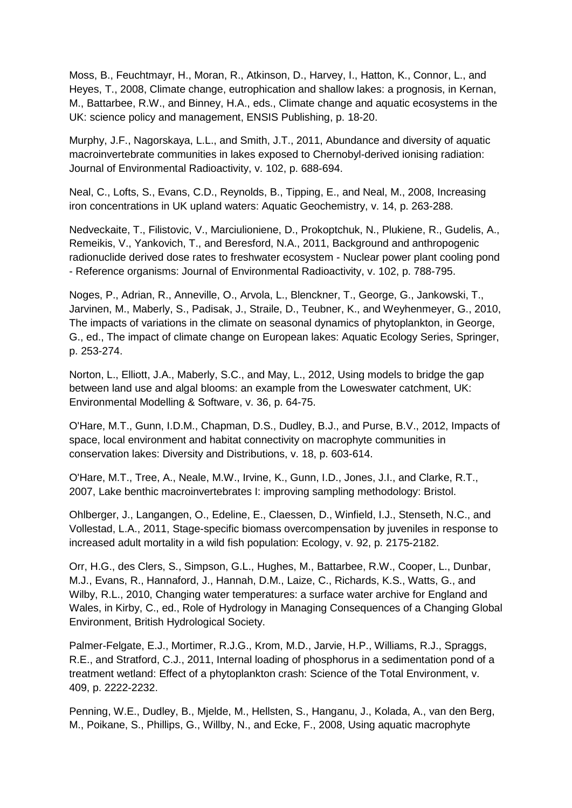Moss, B., Feuchtmayr, H., Moran, R., Atkinson, D., Harvey, I., Hatton, K., Connor, L., and Heyes, T., 2008, Climate change, eutrophication and shallow lakes: a prognosis, in Kernan, M., Battarbee, R.W., and Binney, H.A., eds., Climate change and aquatic ecosystems in the UK: science policy and management, ENSIS Publishing, p. 18-20.

Murphy, J.F., Nagorskaya, L.L., and Smith, J.T., 2011, Abundance and diversity of aquatic macroinvertebrate communities in lakes exposed to Chernobyl-derived ionising radiation: Journal of Environmental Radioactivity, v. 102, p. 688-694.

Neal, C., Lofts, S., Evans, C.D., Reynolds, B., Tipping, E., and Neal, M., 2008, Increasing iron concentrations in UK upland waters: Aquatic Geochemistry, v. 14, p. 263-288.

Nedveckaite, T., Filistovic, V., Marciulioniene, D., Prokoptchuk, N., Plukiene, R., Gudelis, A., Remeikis, V., Yankovich, T., and Beresford, N.A., 2011, Background and anthropogenic radionuclide derived dose rates to freshwater ecosystem - Nuclear power plant cooling pond - Reference organisms: Journal of Environmental Radioactivity, v. 102, p. 788-795.

Noges, P., Adrian, R., Anneville, O., Arvola, L., Blenckner, T., George, G., Jankowski, T., Jarvinen, M., Maberly, S., Padisak, J., Straile, D., Teubner, K., and Weyhenmeyer, G., 2010, The impacts of variations in the climate on seasonal dynamics of phytoplankton, in George, G., ed., The impact of climate change on European lakes: Aquatic Ecology Series, Springer, p. 253-274.

Norton, L., Elliott, J.A., Maberly, S.C., and May, L., 2012, Using models to bridge the gap between land use and algal blooms: an example from the Loweswater catchment, UK: Environmental Modelling & Software, v. 36, p. 64-75.

O'Hare, M.T., Gunn, I.D.M., Chapman, D.S., Dudley, B.J., and Purse, B.V., 2012, Impacts of space, local environment and habitat connectivity on macrophyte communities in conservation lakes: Diversity and Distributions, v. 18, p. 603-614.

O'Hare, M.T., Tree, A., Neale, M.W., Irvine, K., Gunn, I.D., Jones, J.I., and Clarke, R.T., 2007, Lake benthic macroinvertebrates I: improving sampling methodology: Bristol.

Ohlberger, J., Langangen, O., Edeline, E., Claessen, D., Winfield, I.J., Stenseth, N.C., and Vollestad, L.A., 2011, Stage-specific biomass overcompensation by juveniles in response to increased adult mortality in a wild fish population: Ecology, v. 92, p. 2175-2182.

Orr, H.G., des Clers, S., Simpson, G.L., Hughes, M., Battarbee, R.W., Cooper, L., Dunbar, M.J., Evans, R., Hannaford, J., Hannah, D.M., Laize, C., Richards, K.S., Watts, G., and Wilby, R.L., 2010, Changing water temperatures: a surface water archive for England and Wales, in Kirby, C., ed., Role of Hydrology in Managing Consequences of a Changing Global Environment, British Hydrological Society.

Palmer-Felgate, E.J., Mortimer, R.J.G., Krom, M.D., Jarvie, H.P., Williams, R.J., Spraggs, R.E., and Stratford, C.J., 2011, Internal loading of phosphorus in a sedimentation pond of a treatment wetland: Effect of a phytoplankton crash: Science of the Total Environment, v. 409, p. 2222-2232.

Penning, W.E., Dudley, B., Mjelde, M., Hellsten, S., Hanganu, J., Kolada, A., van den Berg, M., Poikane, S., Phillips, G., Willby, N., and Ecke, F., 2008, Using aquatic macrophyte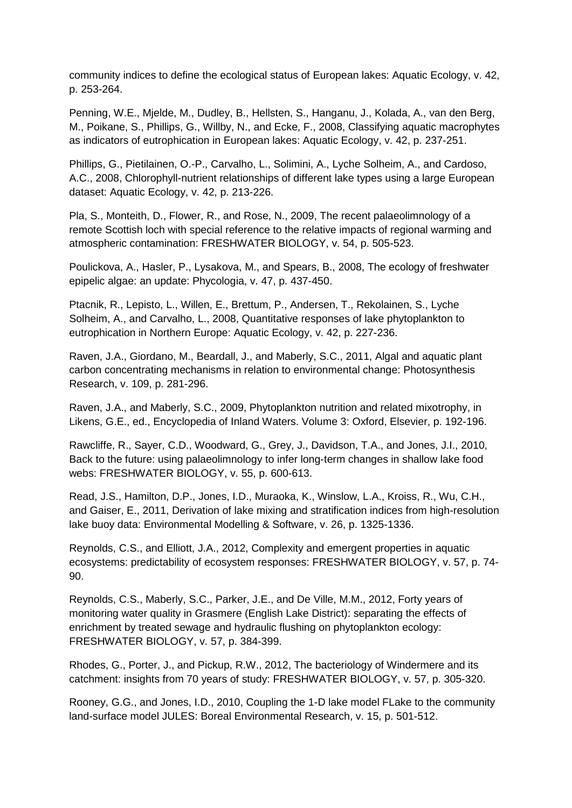community indices to define the ecological status of European lakes: Aquatic Ecology, v. 42, p. 253-264.

Penning, W.E., Mjelde, M., Dudley, B., Hellsten, S., Hanganu, J., Kolada, A., van den Berg, M., Poikane, S., Phillips, G., Willby, N., and Ecke, F., 2008, Classifying aquatic macrophytes as indicators of eutrophication in European lakes: Aquatic Ecology, v. 42, p. 237-251.

Phillips, G., Pietilainen, O.-P., Carvalho, L., Solimini, A., Lyche Solheim, A., and Cardoso, A.C., 2008, Chlorophyll-nutrient relationships of different lake types using a large European dataset: Aquatic Ecology, v. 42, p. 213-226.

Pla, S., Monteith, D., Flower, R., and Rose, N., 2009, The recent palaeolimnology of a remote Scottish loch with special reference to the relative impacts of regional warming and atmospheric contamination: FRESHWATER BIOLOGY, v. 54, p. 505-523.

Poulickova, A., Hasler, P., Lysakova, M., and Spears, B., 2008, The ecology of freshwater epipelic algae: an update: Phycologia, v. 47, p. 437-450.

Ptacnik, R., Lepisto, L., Willen, E., Brettum, P., Andersen, T., Rekolainen, S., Lyche Solheim, A., and Carvalho, L., 2008, Quantitative responses of lake phytoplankton to eutrophication in Northern Europe: Aquatic Ecology, v. 42, p. 227-236.

Raven, J.A., Giordano, M., Beardall, J., and Maberly, S.C., 2011, Algal and aquatic plant carbon concentrating mechanisms in relation to environmental change: Photosynthesis Research, v. 109, p. 281-296.

Raven, J.A., and Maberly, S.C., 2009, Phytoplankton nutrition and related mixotrophy, in Likens, G.E., ed., Encyclopedia of Inland Waters. Volume 3: Oxford, Elsevier, p. 192-196.

Rawcliffe, R., Sayer, C.D., Woodward, G., Grey, J., Davidson, T.A., and Jones, J.I., 2010, Back to the future: using palaeolimnology to infer long-term changes in shallow lake food webs: FRESHWATER BIOLOGY, v. 55, p. 600-613.

Read, J.S., Hamilton, D.P., Jones, I.D., Muraoka, K., Winslow, L.A., Kroiss, R., Wu, C.H., and Gaiser, E., 2011, Derivation of lake mixing and stratification indices from high-resolution lake buoy data: Environmental Modelling & Software, v. 26, p. 1325-1336.

Reynolds, C.S., and Elliott, J.A., 2012, Complexity and emergent properties in aquatic ecosystems: predictability of ecosystem responses: FRESHWATER BIOLOGY, v. 57, p. 74- 90.

Reynolds, C.S., Maberly, S.C., Parker, J.E., and De Ville, M.M., 2012, Forty years of monitoring water quality in Grasmere (English Lake District): separating the effects of enrichment by treated sewage and hydraulic flushing on phytoplankton ecology: FRESHWATER BIOLOGY, v. 57, p. 384-399.

Rhodes, G., Porter, J., and Pickup, R.W., 2012, The bacteriology of Windermere and its catchment: insights from 70 years of study: FRESHWATER BIOLOGY, v. 57, p. 305-320.

Rooney, G.G., and Jones, I.D., 2010, Coupling the 1-D lake model FLake to the community land-surface model JULES: Boreal Environmental Research, v. 15, p. 501-512.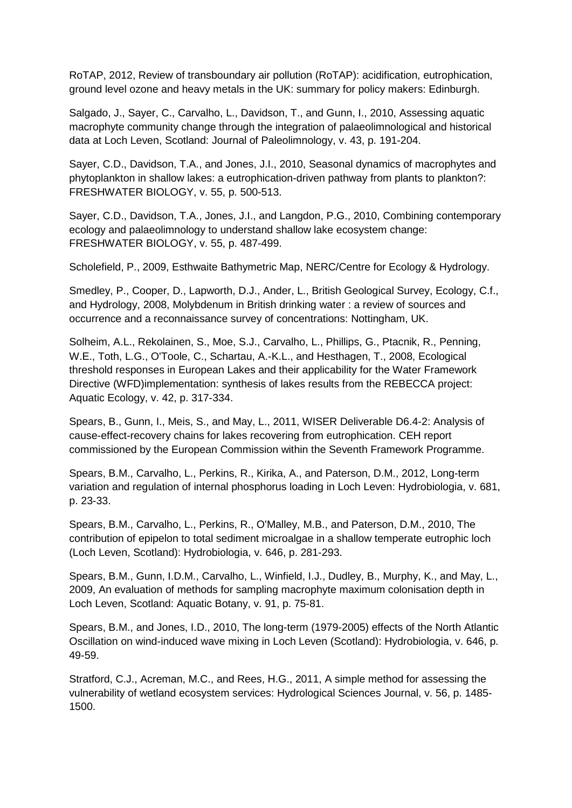RoTAP, 2012, Review of transboundary air pollution (RoTAP): acidification, eutrophication, ground level ozone and heavy metals in the UK: summary for policy makers: Edinburgh.

Salgado, J., Sayer, C., Carvalho, L., Davidson, T., and Gunn, I., 2010, Assessing aquatic macrophyte community change through the integration of palaeolimnological and historical data at Loch Leven, Scotland: Journal of Paleolimnology, v. 43, p. 191-204.

Sayer, C.D., Davidson, T.A., and Jones, J.I., 2010, Seasonal dynamics of macrophytes and phytoplankton in shallow lakes: a eutrophication-driven pathway from plants to plankton?: FRESHWATER BIOLOGY, v. 55, p. 500-513.

Sayer, C.D., Davidson, T.A., Jones, J.I., and Langdon, P.G., 2010, Combining contemporary ecology and palaeolimnology to understand shallow lake ecosystem change: FRESHWATER BIOLOGY, v. 55, p. 487-499.

Scholefield, P., 2009, Esthwaite Bathymetric Map, NERC/Centre for Ecology & Hydrology.

Smedley, P., Cooper, D., Lapworth, D.J., Ander, L., British Geological Survey, Ecology, C.f., and Hydrology, 2008, Molybdenum in British drinking water : a review of sources and occurrence and a reconnaissance survey of concentrations: Nottingham, UK.

Solheim, A.L., Rekolainen, S., Moe, S.J., Carvalho, L., Phillips, G., Ptacnik, R., Penning, W.E., Toth, L.G., O'Toole, C., Schartau, A.-K.L., and Hesthagen, T., 2008, Ecological threshold responses in European Lakes and their applicability for the Water Framework Directive (WFD)implementation: synthesis of lakes results from the REBECCA project: Aquatic Ecology, v. 42, p. 317-334.

Spears, B., Gunn, I., Meis, S., and May, L., 2011, WISER Deliverable D6.4-2: Analysis of cause-effect-recovery chains for lakes recovering from eutrophication. CEH report commissioned by the European Commission within the Seventh Framework Programme.

Spears, B.M., Carvalho, L., Perkins, R., Kirika, A., and Paterson, D.M., 2012, Long-term variation and regulation of internal phosphorus loading in Loch Leven: Hydrobiologia, v. 681, p. 23-33.

Spears, B.M., Carvalho, L., Perkins, R., O'Malley, M.B., and Paterson, D.M., 2010, The contribution of epipelon to total sediment microalgae in a shallow temperate eutrophic loch (Loch Leven, Scotland): Hydrobiologia, v. 646, p. 281-293.

Spears, B.M., Gunn, I.D.M., Carvalho, L., Winfield, I.J., Dudley, B., Murphy, K., and May, L., 2009, An evaluation of methods for sampling macrophyte maximum colonisation depth in Loch Leven, Scotland: Aquatic Botany, v. 91, p. 75-81.

Spears, B.M., and Jones, I.D., 2010, The long-term (1979-2005) effects of the North Atlantic Oscillation on wind-induced wave mixing in Loch Leven (Scotland): Hydrobiologia, v. 646, p. 49-59.

Stratford, C.J., Acreman, M.C., and Rees, H.G., 2011, A simple method for assessing the vulnerability of wetland ecosystem services: Hydrological Sciences Journal, v. 56, p. 1485- 1500.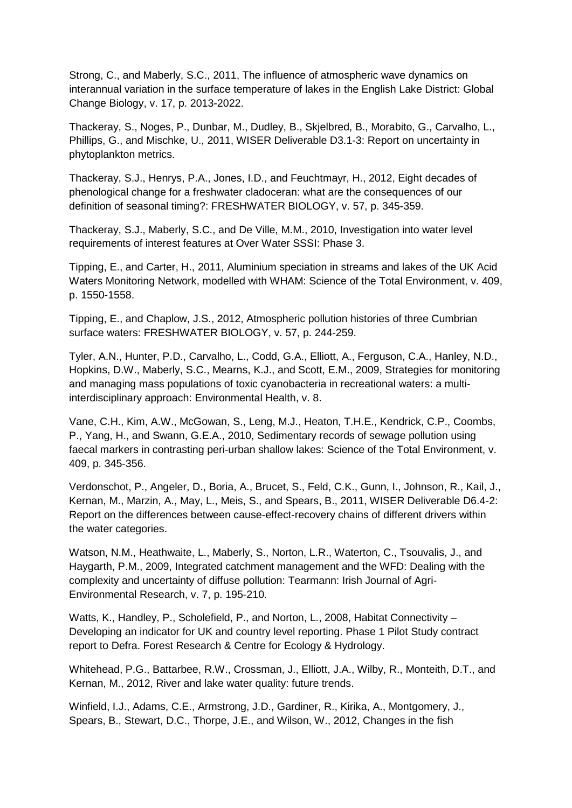Strong, C., and Maberly, S.C., 2011, The influence of atmospheric wave dynamics on interannual variation in the surface temperature of lakes in the English Lake District: Global Change Biology, v. 17, p. 2013-2022.

Thackeray, S., Noges, P., Dunbar, M., Dudley, B., Skjelbred, B., Morabito, G., Carvalho, L., Phillips, G., and Mischke, U., 2011, WISER Deliverable D3.1-3: Report on uncertainty in phytoplankton metrics.

Thackeray, S.J., Henrys, P.A., Jones, I.D., and Feuchtmayr, H., 2012, Eight decades of phenological change for a freshwater cladoceran: what are the consequences of our definition of seasonal timing?: FRESHWATER BIOLOGY, v. 57, p. 345-359.

Thackeray, S.J., Maberly, S.C., and De Ville, M.M., 2010, Investigation into water level requirements of interest features at Over Water SSSI: Phase 3.

Tipping, E., and Carter, H., 2011, Aluminium speciation in streams and lakes of the UK Acid Waters Monitoring Network, modelled with WHAM: Science of the Total Environment, v. 409, p. 1550-1558.

Tipping, E., and Chaplow, J.S., 2012, Atmospheric pollution histories of three Cumbrian surface waters: FRESHWATER BIOLOGY, v. 57, p. 244-259.

Tyler, A.N., Hunter, P.D., Carvalho, L., Codd, G.A., Elliott, A., Ferguson, C.A., Hanley, N.D., Hopkins, D.W., Maberly, S.C., Mearns, K.J., and Scott, E.M., 2009, Strategies for monitoring and managing mass populations of toxic cyanobacteria in recreational waters: a multiinterdisciplinary approach: Environmental Health, v. 8.

Vane, C.H., Kim, A.W., McGowan, S., Leng, M.J., Heaton, T.H.E., Kendrick, C.P., Coombs, P., Yang, H., and Swann, G.E.A., 2010, Sedimentary records of sewage pollution using faecal markers in contrasting peri-urban shallow lakes: Science of the Total Environment, v. 409, p. 345-356.

Verdonschot, P., Angeler, D., Boria, A., Brucet, S., Feld, C.K., Gunn, I., Johnson, R., Kail, J., Kernan, M., Marzin, A., May, L., Meis, S., and Spears, B., 2011, WISER Deliverable D6.4-2: Report on the differences between cause-effect-recovery chains of different drivers within the water categories.

Watson, N.M., Heathwaite, L., Maberly, S., Norton, L.R., Waterton, C., Tsouvalis, J., and Haygarth, P.M., 2009, Integrated catchment management and the WFD: Dealing with the complexity and uncertainty of diffuse pollution: Tearmann: Irish Journal of Agri-Environmental Research, v. 7, p. 195-210.

Watts, K., Handley, P., Scholefield, P., and Norton, L., 2008, Habitat Connectivity – Developing an indicator for UK and country level reporting. Phase 1 Pilot Study contract report to Defra. Forest Research & Centre for Ecology & Hydrology.

Whitehead, P.G., Battarbee, R.W., Crossman, J., Elliott, J.A., Wilby, R., Monteith, D.T., and Kernan, M., 2012, River and lake water quality: future trends.

Winfield, I.J., Adams, C.E., Armstrong, J.D., Gardiner, R., Kirika, A., Montgomery, J., Spears, B., Stewart, D.C., Thorpe, J.E., and Wilson, W., 2012, Changes in the fish